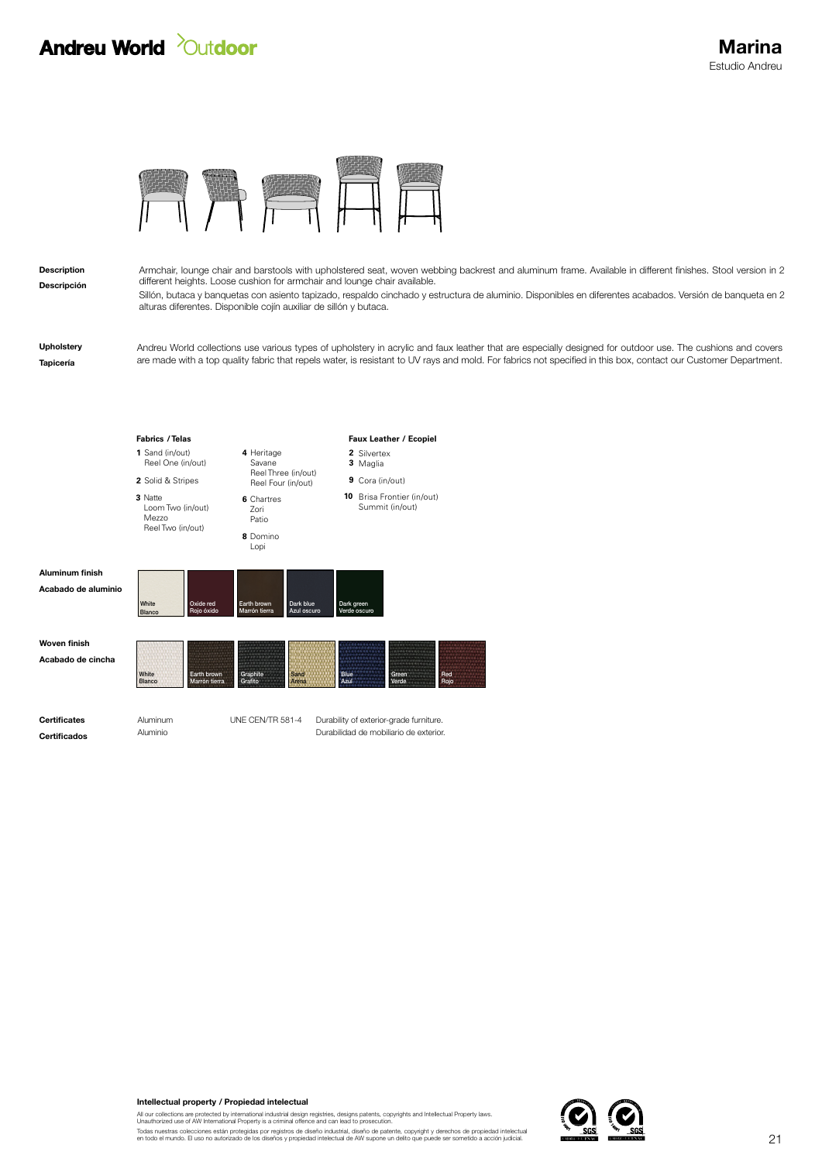## **Andreu World** *Quidoor*



alturas diferentes. Disponible cojín auxiliar de sillón y butaca.

Descripción Description

Sillón, butaca y banquetas con asiento tapizado, respaldo cinchado y estructura de aluminio. Disponibles en diferentes acabados. Versión de banqueta en 2 Armchair, lounge chair and barstools with upholstered seat, woven webbing backrest and aluminum frame. Available in different finishes. Stool version in 2 different heights. Loose cushion for armchair and lounge chair available.

Tapicería Upholstery Andreu World collections use various types of upholstery in acrylic and faux leather that are especially designed for outdoor use. The cushions and covers are made with a top quality fabric that repels water, is resistant to UV rays and mold. For fabrics not specified in this box, contact our Customer Department.



Intellectual property / Propiedad intelectual

All our collections are protected by international industrial design registries, designs patents, copyrights and Intellectual Property laws.<br>Unauthorized use of AW International Property is a criminal offence and can lead

Todas nuestras colecciones están protegidas por registros de diseño industrial, diseño de patente, copyright y derechos de propiedad intelectual<br>en todo el mundo. El uso no autorizado de los diseños y propiedad intelectual

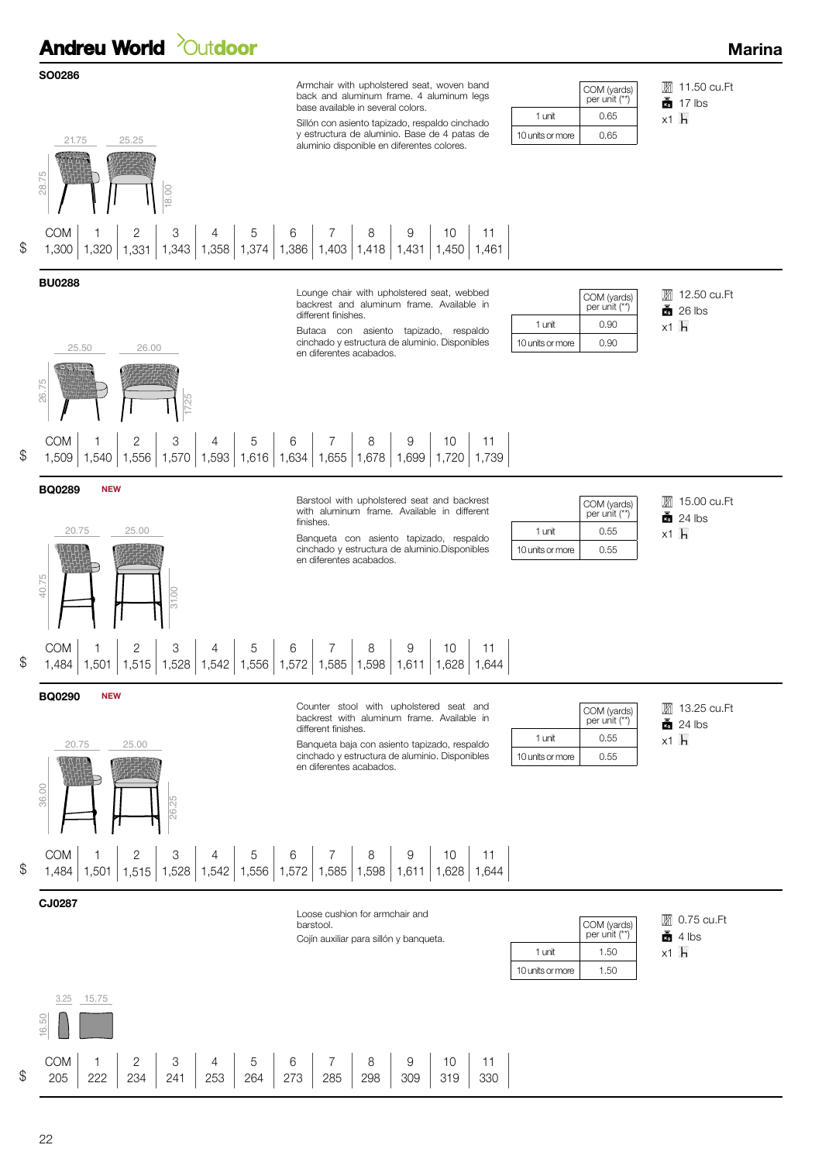**Andreu World** *Qutdoor* 

## Marina



 $x1$   $h$ **■ 15.00 cu.Ft**  $24$  lbs COM (yards) per unit (\*\*) 1 unit 0.55 10 units or more | 0.55

 $x1$   $h$ 

COM (yards) per unit (\*\*)

COM (yards) per unit (\*\*)

1 unit 0.90 10 units or more 0.90

1 unit 0.65 10 units or more  $\vert$  0.65 **■** 11.50 cu.Ft  $\frac{1}{2}$  17 lbs

**■** 12.50 cu.Ft  $26$  lbs

 $x1$   $h$ 

31.00

BQ0290 NEW

20.75

Counter stool with upholstered seat and backrest with aluminum frame. Available in different finishes.

Banqueta baja con asiento tapizado, respaldo cinchado y estructura de aluminio. Disponibles en diferentes acabados.

|                  | $\left[\begin{array}{c} \text{COM (yards)} \\ \text{per unit (**)} \end{array}\right]$ |
|------------------|----------------------------------------------------------------------------------------|
| 1 unit           | O 55                                                                                   |
| 10 units or more | 0.55                                                                                   |

 $x1$   $h$ **图 13.25 cu.Ft**  $\frac{1}{24}$  24 lbs

26.25 36.00

25.00